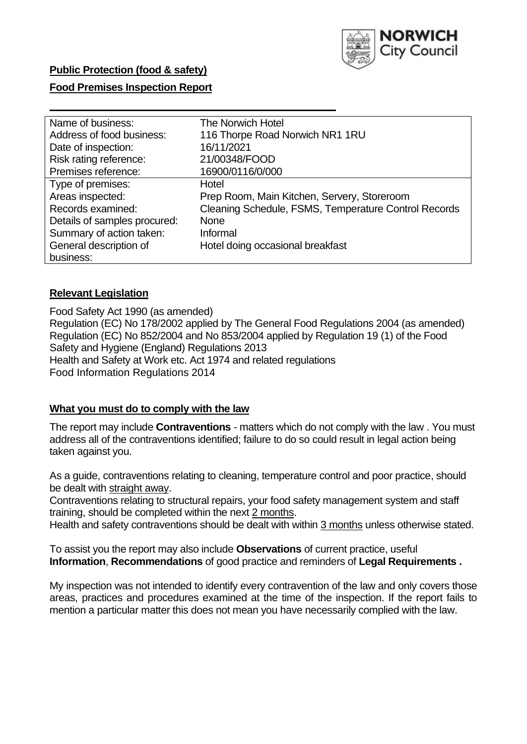

### **Food Premises Inspection Report**

| Name of business:            | The Norwich Hotel                                    |
|------------------------------|------------------------------------------------------|
| Address of food business:    | 116 Thorpe Road Norwich NR1 1RU                      |
| Date of inspection:          | 16/11/2021                                           |
| Risk rating reference:       | 21/00348/FOOD                                        |
| Premises reference:          | 16900/0116/0/000                                     |
| Type of premises:            | Hotel                                                |
| Areas inspected:             | Prep Room, Main Kitchen, Servery, Storeroom          |
| Records examined:            | Cleaning Schedule, FSMS, Temperature Control Records |
| Details of samples procured: | <b>None</b>                                          |
| Summary of action taken:     | Informal                                             |
| General description of       | Hotel doing occasional breakfast                     |
| business:                    |                                                      |

#### **Relevant Legislation**

 Food Safety Act 1990 (as amended) Regulation (EC) No 178/2002 applied by The General Food Regulations 2004 (as amended) Regulation (EC) No 852/2004 and No 853/2004 applied by Regulation 19 (1) of the Food Safety and Hygiene (England) Regulations 2013 Health and Safety at Work etc. Act 1974 and related regulations Food Information Regulations 2014

#### **What you must do to comply with the law**

 The report may include **Contraventions** - matters which do not comply with the law . You must address all of the contraventions identified; failure to do so could result in legal action being taken against you.

 As a guide, contraventions relating to cleaning, temperature control and poor practice, should be dealt with straight away.

 Contraventions relating to structural repairs, your food safety management system and staff training, should be completed within the next 2 months.

Health and safety contraventions should be dealt with within 3 months unless otherwise stated.

 To assist you the report may also include **Observations** of current practice, useful **Information**, **Recommendations** of good practice and reminders of **Legal Requirements .** 

 My inspection was not intended to identify every contravention of the law and only covers those areas, practices and procedures examined at the time of the inspection. If the report fails to mention a particular matter this does not mean you have necessarily complied with the law.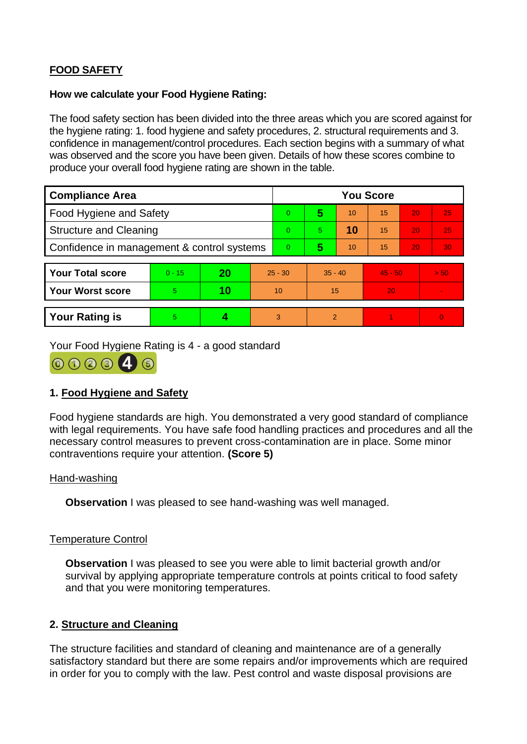# **FOOD SAFETY**

#### **How we calculate your Food Hygiene Rating:**

 The food safety section has been divided into the three areas which you are scored against for the hygiene rating: 1. food hygiene and safety procedures, 2. structural requirements and 3. confidence in management/control procedures. Each section begins with a summary of what was observed and the score you have been given. Details of how these scores combine to produce your overall food hygiene rating are shown in the table.

| <b>Compliance Area</b>                     |          |           |           | <b>You Score</b> |               |    |           |    |          |  |  |
|--------------------------------------------|----------|-----------|-----------|------------------|---------------|----|-----------|----|----------|--|--|
| <b>Food Hygiene and Safety</b>             |          |           |           | $\Omega$         | 5             | 10 | 15        | 20 | 25       |  |  |
| <b>Structure and Cleaning</b>              |          |           | $\Omega$  | 5.               | 10            | 15 | 20        | 25 |          |  |  |
| Confidence in management & control systems |          |           | $\Omega$  | 5                | 10            | 15 | 20        | 30 |          |  |  |
|                                            |          |           |           |                  |               |    |           |    |          |  |  |
| <b>Your Total score</b>                    | $0 - 15$ | <b>20</b> | $25 - 30$ |                  | $35 - 40$     |    | $45 - 50$ |    | > 50     |  |  |
| <b>Your Worst score</b>                    | 5        | 10        | 10        |                  | 15            |    | 20        |    | ÷.       |  |  |
|                                            |          |           |           |                  |               |    |           |    |          |  |  |
| <b>Your Rating is</b>                      | 5        |           |           | 3                | $\mathcal{P}$ |    |           |    | $\Omega$ |  |  |

Your Food Hygiene Rating is 4 - a good standard



## **1. Food Hygiene and Safety**

 with legal requirements. You have safe food handling practices and procedures and all the Food hygiene standards are high. You demonstrated a very good standard of compliance necessary control measures to prevent cross-contamination are in place. Some minor contraventions require your attention. **(Score 5)** 

#### Hand-washing

**Observation** I was pleased to see hand-washing was well managed.

#### Temperature Control

**Observation** I was pleased to see you were able to limit bacterial growth and/or survival by applying appropriate temperature controls at points critical to food safety and that you were monitoring temperatures.

#### **2. Structure and Cleaning**

The structure facilities and standard of cleaning and maintenance are of a generally satisfactory standard but there are some repairs and/or improvements which are required in order for you to comply with the law. Pest control and waste disposal provisions are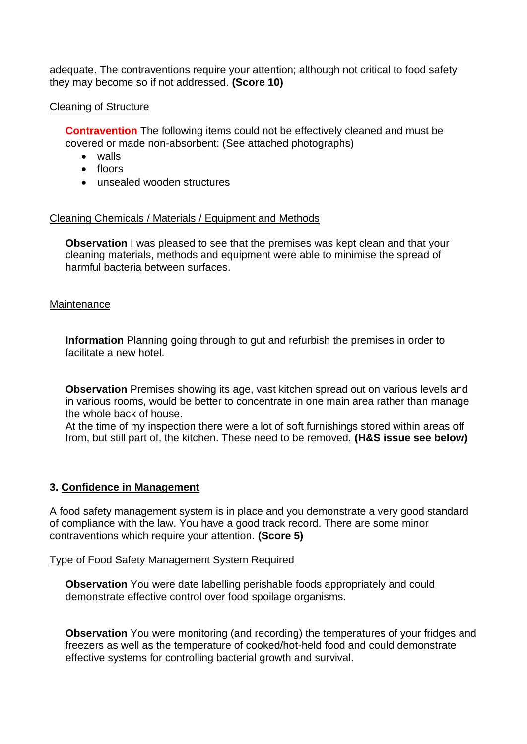adequate. The contraventions require your attention; although not critical to food safety they may become so if not addressed. **(Score 10)** 

### Cleaning of Structure

 **Contravention** The following items could not be effectively cleaned and must be covered or made non-absorbent: (See attached photographs)

- walls
- floors
- unsealed wooden structures

#### Cleaning Chemicals / Materials / Equipment and Methods

**Observation** I was pleased to see that the premises was kept clean and that your cleaning materials, methods and equipment were able to minimise the spread of harmful bacteria between surfaces.

#### **Maintenance**

**Information** Planning going through to gut and refurbish the premises in order to facilitate a new hotel.

 in various rooms, would be better to concentrate in one main area rather than manage **Observation** Premises showing its age, vast kitchen spread out on various levels and the whole back of house.

 from, but still part of, the kitchen. These need to be removed. **(H&S issue see below)**  At the time of my inspection there were a lot of soft furnishings stored within areas off

#### **3. Confidence in Management**

A food safety management system is in place and you demonstrate a very good standard of compliance with the law. You have a good track record. There are some minor contraventions which require your attention. **(Score 5)** 

Type of Food Safety Management System Required

 demonstrate effective control over food spoilage organisms. **Observation** You were date labelling perishable foods appropriately and could

**Observation** You were monitoring (and recording) the temperatures of your fridges and freezers as well as the temperature of cooked/hot-held food and could demonstrate effective systems for controlling bacterial growth and survival.